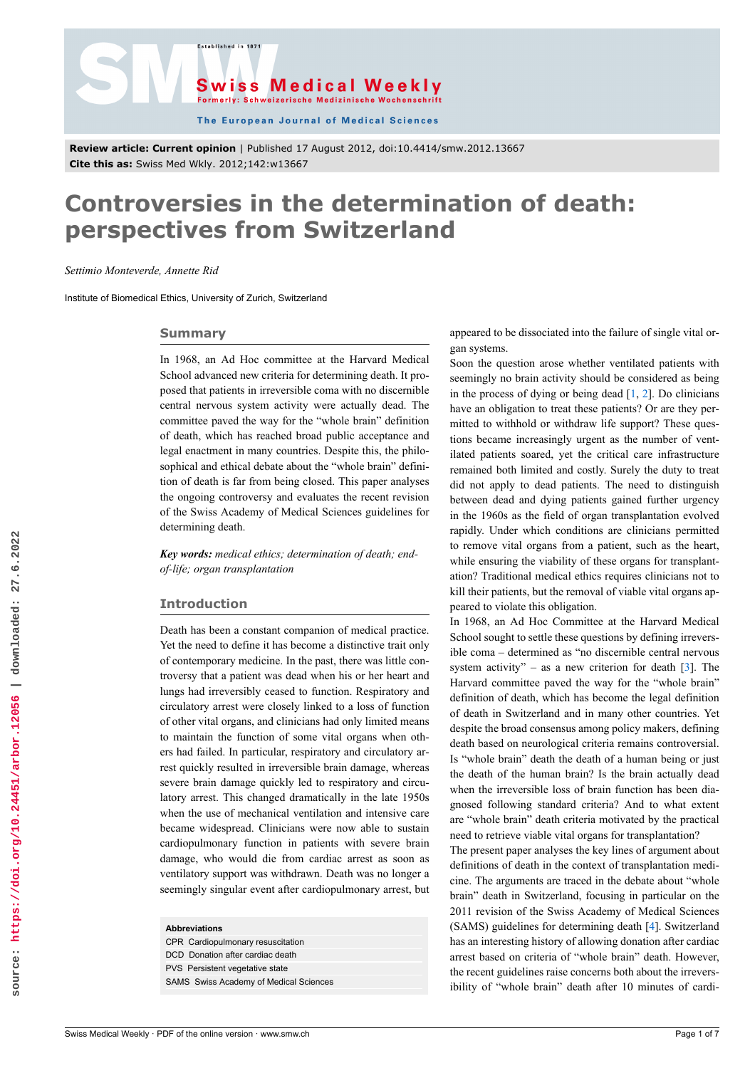



The European Journal of Medical Sciences

**Review article: Current opinion** | Published 17 August 2012, doi:10.4414/smw.2012.13667 **Cite this as:** Swiss Med Wkly. 2012;142:w13667

# **Controversies in the determination of death: perspectives from Switzerland**

*Settimio Monteverde, Annette Rid*

Institute of Biomedical Ethics, University of Zurich, Switzerland

#### **Summary**

In 1968, an Ad Hoc committee at the Harvard Medical School advanced new criteria for determining death. It proposed that patients in irreversible coma with no discernible central nervous system activity were actually dead. The committee paved the way for the "whole brain" definition of death, which has reached broad public acceptance and legal enactment in many countries. Despite this, the philosophical and ethical debate about the "whole brain" definition of death is far from being closed. This paper analyses the ongoing controversy and evaluates the recent revision of the Swiss Academy of Medical Sciences guidelines for determining death.

*Key words: medical ethics; determination of death; endof-life; organ transplantation*

# **Introduction**

Death has been a constant companion of medical practice. Yet the need to define it has become a distinctive trait only of contemporary medicine. In the past, there was little controversy that a patient was dead when his or her heart and lungs had irreversibly ceased to function. Respiratory and circulatory arrest were closely linked to a loss of function of other vital organs, and clinicians had only limited means to maintain the function of some vital organs when others had failed. In particular, respiratory and circulatory arrest quickly resulted in irreversible brain damage, whereas severe brain damage quickly led to respiratory and circulatory arrest. This changed dramatically in the late 1950s when the use of mechanical ventilation and intensive care became widespread. Clinicians were now able to sustain cardiopulmonary function in patients with severe brain damage, who would die from cardiac arrest as soon as ventilatory support was withdrawn. Death was no longer a seemingly singular event after cardiopulmonary arrest, but

| <b>Abbreviations</b> |  |
|----------------------|--|
|----------------------|--|

| CPR Cardiopulmonary resuscitation             |  |
|-----------------------------------------------|--|
| DCD Donation after cardiac death              |  |
| PVS Persistent vegetative state               |  |
| <b>SAMS</b> Swiss Academy of Medical Sciences |  |

appeared to be dissociated into the failure of single vital organ systems.

Soon the question arose whether ventilated patients with seemingly no brain activity should be considered as being in the process of dying or being dead  $[1, 2]$  $[1, 2]$  $[1, 2]$  $[1, 2]$ . Do clinicians have an obligation to treat these patients? Or are they permitted to withhold or withdraw life support? These questions became increasingly urgent as the number of ventilated patients soared, yet the critical care infrastructure remained both limited and costly. Surely the duty to treat did not apply to dead patients. The need to distinguish between dead and dying patients gained further urgency in the 1960s as the field of organ transplantation evolved rapidly. Under which conditions are clinicians permitted to remove vital organs from a patient, such as the heart, while ensuring the viability of these organs for transplantation? Traditional medical ethics requires clinicians not to kill their patients, but the removal of viable vital organs appeared to violate this obligation.

In 1968, an Ad Hoc Committee at the Harvard Medical School sought to settle these questions by defining irreversible coma – determined as "no discernible central nervous system activity" – as a new criterion for death  $[3]$ . The Harvard committee paved the way for the "whole brain" definition of death, which has become the legal definition of death in Switzerland and in many other countries. Yet despite the broad consensus among policy makers, defining death based on neurological criteria remains controversial. Is "whole brain" death the death of a human being or just the death of the human brain? Is the brain actually dead when the irreversible loss of brain function has been diagnosed following standard criteria? And to what extent are "whole brain" death criteria motivated by the practical need to retrieve viable vital organs for transplantation?

The present paper analyses the key lines of argument about definitions of death in the context of transplantation medicine. The arguments are traced in the debate about "whole brain" death in Switzerland, focusing in particular on the 2011 revision of the Swiss Academy of Medical Sciences (SAMS) guidelines for determining death [[4](#page-5-3)]. Switzerland has an interesting history of allowing donation after cardiac arrest based on criteria of "whole brain" death. However, the recent guidelines raise concerns both about the irreversibility of "whole brain" death after 10 minutes of cardi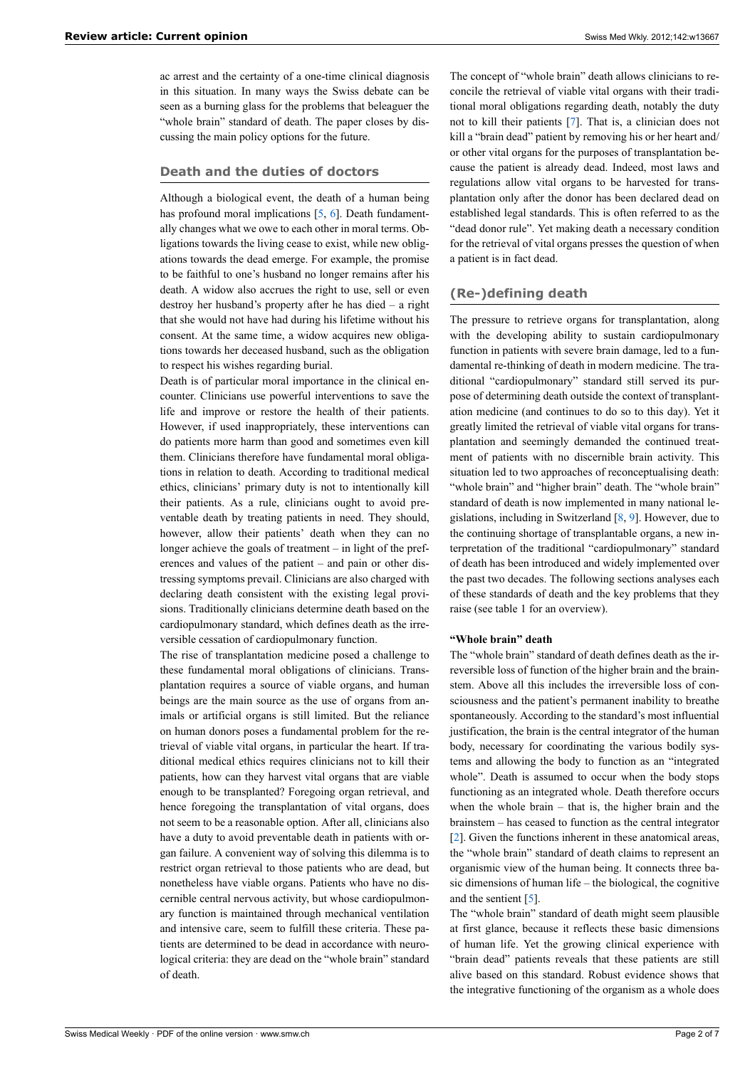ac arrest and the certainty of a one-time clinical diagnosis in this situation. In many ways the Swiss debate can be seen as a burning glass for the problems that beleaguer the "whole brain" standard of death. The paper closes by discussing the main policy options for the future.

# **Death and the duties of doctors**

Although a biological event, the death of a human being has profound moral implications [[5](#page-5-4), [6\]](#page-5-5). Death fundamentally changes what we owe to each other in moral terms. Obligations towards the living cease to exist, while new obligations towards the dead emerge. For example, the promise to be faithful to one's husband no longer remains after his death. A widow also accrues the right to use, sell or even destroy her husband's property after he has died – a right that she would not have had during his lifetime without his consent. At the same time, a widow acquires new obligations towards her deceased husband, such as the obligation to respect his wishes regarding burial.

Death is of particular moral importance in the clinical encounter. Clinicians use powerful interventions to save the life and improve or restore the health of their patients. However, if used inappropriately, these interventions can do patients more harm than good and sometimes even kill them. Clinicians therefore have fundamental moral obligations in relation to death. According to traditional medical ethics, clinicians' primary duty is not to intentionally kill their patients. As a rule, clinicians ought to avoid preventable death by treating patients in need. They should, however, allow their patients' death when they can no longer achieve the goals of treatment – in light of the preferences and values of the patient – and pain or other distressing symptoms prevail. Clinicians are also charged with declaring death consistent with the existing legal provisions. Traditionally clinicians determine death based on the cardiopulmonary standard, which defines death as the irreversible cessation of cardiopulmonary function.

The rise of transplantation medicine posed a challenge to these fundamental moral obligations of clinicians. Transplantation requires a source of viable organs, and human beings are the main source as the use of organs from animals or artificial organs is still limited. But the reliance on human donors poses a fundamental problem for the retrieval of viable vital organs, in particular the heart. If traditional medical ethics requires clinicians not to kill their patients, how can they harvest vital organs that are viable enough to be transplanted? Foregoing organ retrieval, and hence foregoing the transplantation of vital organs, does not seem to be a reasonable option. After all, clinicians also have a duty to avoid preventable death in patients with organ failure. A convenient way of solving this dilemma is to restrict organ retrieval to those patients who are dead, but nonetheless have viable organs. Patients who have no discernible central nervous activity, but whose cardiopulmonary function is maintained through mechanical ventilation and intensive care, seem to fulfill these criteria. These patients are determined to be dead in accordance with neurological criteria: they are dead on the "whole brain" standard of death.

The concept of "whole brain" death allows clinicians to reconcile the retrieval of viable vital organs with their traditional moral obligations regarding death, notably the duty not to kill their patients [\[7\]](#page-6-0). That is, a clinician does not kill a "brain dead" patient by removing his or her heart and/ or other vital organs for the purposes of transplantation because the patient is already dead. Indeed, most laws and regulations allow vital organs to be harvested for transplantation only after the donor has been declared dead on established legal standards. This is often referred to as the "dead donor rule". Yet making death a necessary condition for the retrieval of vital organs presses the question of when a patient is in fact dead.

# **(Re-)defining death**

The pressure to retrieve organs for transplantation, along with the developing ability to sustain cardiopulmonary function in patients with severe brain damage, led to a fundamental re-thinking of death in modern medicine. The traditional "cardiopulmonary" standard still served its purpose of determining death outside the context of transplantation medicine (and continues to do so to this day). Yet it greatly limited the retrieval of viable vital organs for transplantation and seemingly demanded the continued treatment of patients with no discernible brain activity. This situation led to two approaches of reconceptualising death: "whole brain" and "higher brain" death. The "whole brain" standard of death is now implemented in many national legislations, including in Switzerland [[8](#page-6-1), [9](#page-6-2)]. However, due to the continuing shortage of transplantable organs, a new interpretation of the traditional "cardiopulmonary" standard of death has been introduced and widely implemented over the past two decades. The following sections analyses each of these standards of death and the key problems that they raise (see table 1 for an overview).

## **"Whole brain" death**

The "whole brain" standard of death defines death as the irreversible loss of function of the higher brain and the brainstem. Above all this includes the irreversible loss of consciousness and the patient's permanent inability to breathe spontaneously. According to the standard's most influential justification, the brain is the central integrator of the human body, necessary for coordinating the various bodily systems and allowing the body to function as an "integrated whole". Death is assumed to occur when the body stops functioning as an integrated whole. Death therefore occurs when the whole brain – that is, the higher brain and the brainstem – has ceased to function as the central integrator [[2](#page-5-1)]. Given the functions inherent in these anatomical areas, the "whole brain" standard of death claims to represent an organismic view of the human being. It connects three basic dimensions of human life – the biological, the cognitive and the sentient [\[5\]](#page-5-4).

The "whole brain" standard of death might seem plausible at first glance, because it reflects these basic dimensions of human life. Yet the growing clinical experience with "brain dead" patients reveals that these patients are still alive based on this standard. Robust evidence shows that the integrative functioning of the organism as a whole does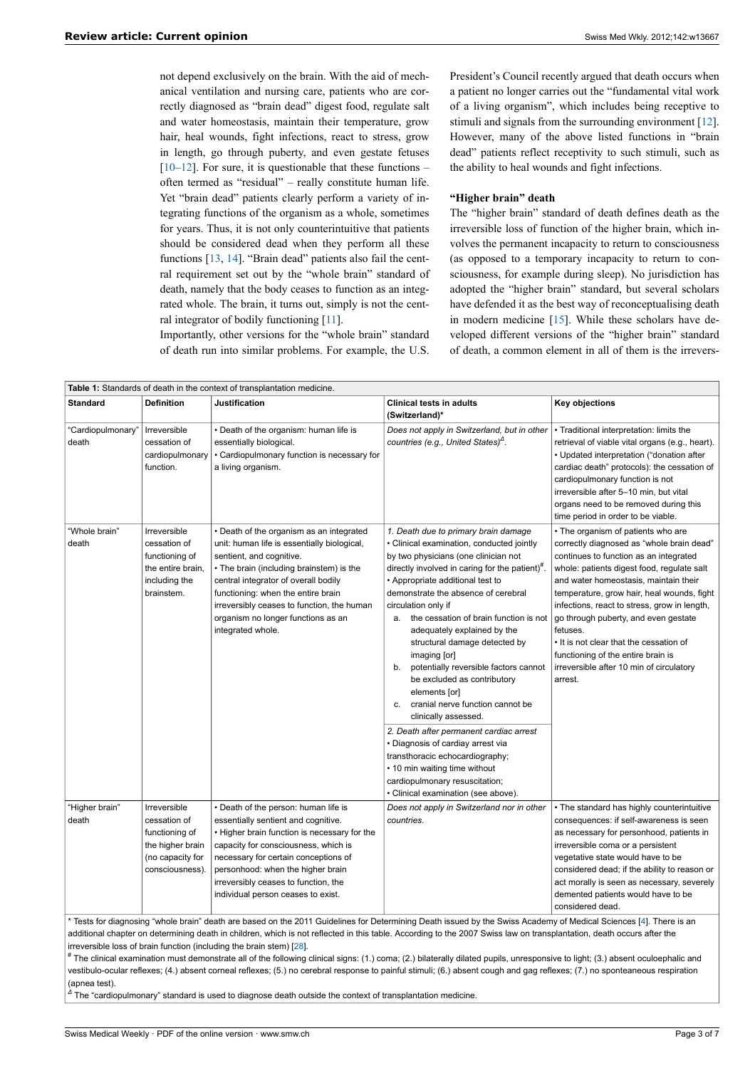not depend exclusively on the brain. With the aid of mechanical ventilation and nursing care, patients who are correctly diagnosed as "brain dead" digest food, regulate salt and water homeostasis, maintain their temperature, grow hair, heal wounds, fight infections, react to stress, grow in length, go through puberty, and even gestate fetuses  $[10-12]$  $[10-12]$  $[10-12]$ . For sure, it is questionable that these functions – often termed as "residual" – really constitute human life. Yet "brain dead" patients clearly perform a variety of integrating functions of the organism as a whole, sometimes for years. Thus, it is not only counterintuitive that patients should be considered dead when they perform all these functions [[13,](#page-6-5) [14\]](#page-6-6). "Brain dead" patients also fail the central requirement set out by the "whole brain" standard of death, namely that the body ceases to function as an integrated whole. The brain, it turns out, simply is not the cent-ral integrator of bodily functioning [[11](#page-6-7)].

Importantly, other versions for the "whole brain" standard of death run into similar problems. For example, the U.S.

President's Council recently argued that death occurs when a patient no longer carries out the "fundamental vital work of a living organism", which includes being receptive to stimuli and signals from the surrounding environment [[12\]](#page-6-4). However, many of the above listed functions in "brain dead" patients reflect receptivity to such stimuli, such as the ability to heal wounds and fight infections.

## **"Higher brain" death**

The "higher brain" standard of death defines death as the irreversible loss of function of the higher brain, which involves the permanent incapacity to return to consciousness (as opposed to a temporary incapacity to return to consciousness, for example during sleep). No jurisdiction has adopted the "higher brain" standard, but several scholars have defended it as the best way of reconceptualising death in modern medicine  $[15]$  $[15]$ . While these scholars have developed different versions of the "higher brain" standard of death, a common element in all of them is the irrevers-

| <b>Table 1:</b> Standards of death in the context of transplantation medicine.                           |                                                                                                                                                                                                                                                                                                                                                        |                                                                                                                                                                                                                                                                                                                                                                                                                                                                                                                                                                                                                                                                                                                                                                                                             |                                                                                                                                                                                                                                                                                                                                                                                                                                                                                                            |  |  |
|----------------------------------------------------------------------------------------------------------|--------------------------------------------------------------------------------------------------------------------------------------------------------------------------------------------------------------------------------------------------------------------------------------------------------------------------------------------------------|-------------------------------------------------------------------------------------------------------------------------------------------------------------------------------------------------------------------------------------------------------------------------------------------------------------------------------------------------------------------------------------------------------------------------------------------------------------------------------------------------------------------------------------------------------------------------------------------------------------------------------------------------------------------------------------------------------------------------------------------------------------------------------------------------------------|------------------------------------------------------------------------------------------------------------------------------------------------------------------------------------------------------------------------------------------------------------------------------------------------------------------------------------------------------------------------------------------------------------------------------------------------------------------------------------------------------------|--|--|
| <b>Definition</b>                                                                                        | Justification                                                                                                                                                                                                                                                                                                                                          | Clinical tests in adults<br>(Switzerland)*                                                                                                                                                                                                                                                                                                                                                                                                                                                                                                                                                                                                                                                                                                                                                                  | Key objections                                                                                                                                                                                                                                                                                                                                                                                                                                                                                             |  |  |
| Irreversible<br>cessation of<br>cardiopulmonary<br>function.                                             | • Death of the organism: human life is<br>essentially biological.<br>• Cardiopulmonary function is necessary for<br>a living organism.                                                                                                                                                                                                                 | Does not apply in Switzerland, but in other<br>countries (e.g., United States) <sup><math>\triangle</math></sup> .                                                                                                                                                                                                                                                                                                                                                                                                                                                                                                                                                                                                                                                                                          | • Traditional interpretation: limits the<br>retrieval of viable vital organs (e.g., heart).<br>• Updated interpretation ("donation after<br>cardiac death" protocols): the cessation of<br>cardiopulmonary function is not<br>irreversible after 5-10 min, but vital<br>organs need to be removed during this<br>time period in order to be viable.                                                                                                                                                        |  |  |
| Irreversible<br>cessation of<br>functioning of<br>the entire brain.<br>including the<br>brainstem.       | • Death of the organism as an integrated<br>unit: human life is essentially biological,<br>sentient, and cognitive.<br>• The brain (including brainstem) is the<br>central integrator of overall bodily<br>functioning: when the entire brain<br>irreversibly ceases to function, the human<br>organism no longer functions as an<br>integrated whole. | 1. Death due to primary brain damage<br>• Clinical examination, conducted jointly<br>by two physicians (one clinician not<br>directly involved in caring for the patient)".<br>• Appropriate additional test to<br>demonstrate the absence of cerebral<br>circulation only if<br>the cessation of brain function is not<br>а.<br>adequately explained by the<br>structural damage detected by<br>imaging [or]<br>potentially reversible factors cannot<br>b.<br>be excluded as contributory<br>elements [or]<br>cranial nerve function cannot be<br>c.<br>clinically assessed.<br>2. Death after permanent cardiac arrest<br>• Diagnosis of cardiay arrest via<br>transthoracic echocardiography;<br>• 10 min waiting time without<br>cardiopulmonary resuscitation;<br>• Clinical examination (see above). | • The organism of patients who are<br>correctly diagnosed as "whole brain dead"<br>continues to function as an integrated<br>whole: patients digest food, regulate salt<br>and water homeostasis, maintain their<br>temperature, grow hair, heal wounds, fight<br>infections, react to stress, grow in length,<br>go through puberty, and even gestate<br>fetuses.<br>• It is not clear that the cessation of<br>functioning of the entire brain is<br>irreversible after 10 min of circulatory<br>arrest. |  |  |
| Irreversible<br>cessation of<br>functioning of<br>the higher brain<br>(no capacity for<br>consciousness) | • Death of the person: human life is<br>essentially sentient and cognitive.<br>. Higher brain function is necessary for the<br>capacity for consciousness, which is<br>necessary for certain conceptions of<br>personhood: when the higher brain<br>irreversibly ceases to function, the<br>individual person ceases to exist.                         | Does not apply in Switzerland nor in other<br>countries.                                                                                                                                                                                                                                                                                                                                                                                                                                                                                                                                                                                                                                                                                                                                                    | • The standard has highly counterintuitive<br>consequences: if self-awareness is seen<br>as necessary for personhood, patients in<br>irreversible coma or a persistent<br>vegetative state would have to be<br>considered dead; if the ability to reason or<br>act morally is seen as necessary, severely<br>demented patients would have to be<br>considered dead.                                                                                                                                        |  |  |
|                                                                                                          |                                                                                                                                                                                                                                                                                                                                                        |                                                                                                                                                                                                                                                                                                                                                                                                                                                                                                                                                                                                                                                                                                                                                                                                             |                                                                                                                                                                                                                                                                                                                                                                                                                                                                                                            |  |  |

iagnosing "whole brain" death are based on the 2011 Guidelines for Determining Death issued by the Swiss Academy of Medical Sciences [\[4\]](#page-5-3). There is an additional chapter on determining death in children, which is not reflected in this table. According to the 2007 Swiss law on transplantation, death occurs after the irreversible loss of brain function (including the brain stem) [[28](#page-6-9)].

# The clinical examination must demonstrate all of the following clinical signs: (1.) coma; (2.) bilaterally dilated pupils, unresponsive to light; (3.) absent oculoephalic and vestibulo-ocular reflexes; (4.) absent corneal reflexes; (5.) no cerebral response to painful stimuli; (6.) absent cough and gag reflexes; (7.) no sponteaneous respiration (apnea test).

*Δ* The "cardiopulmonary" standard is used to diagnose death outside the context of transplantation medicine.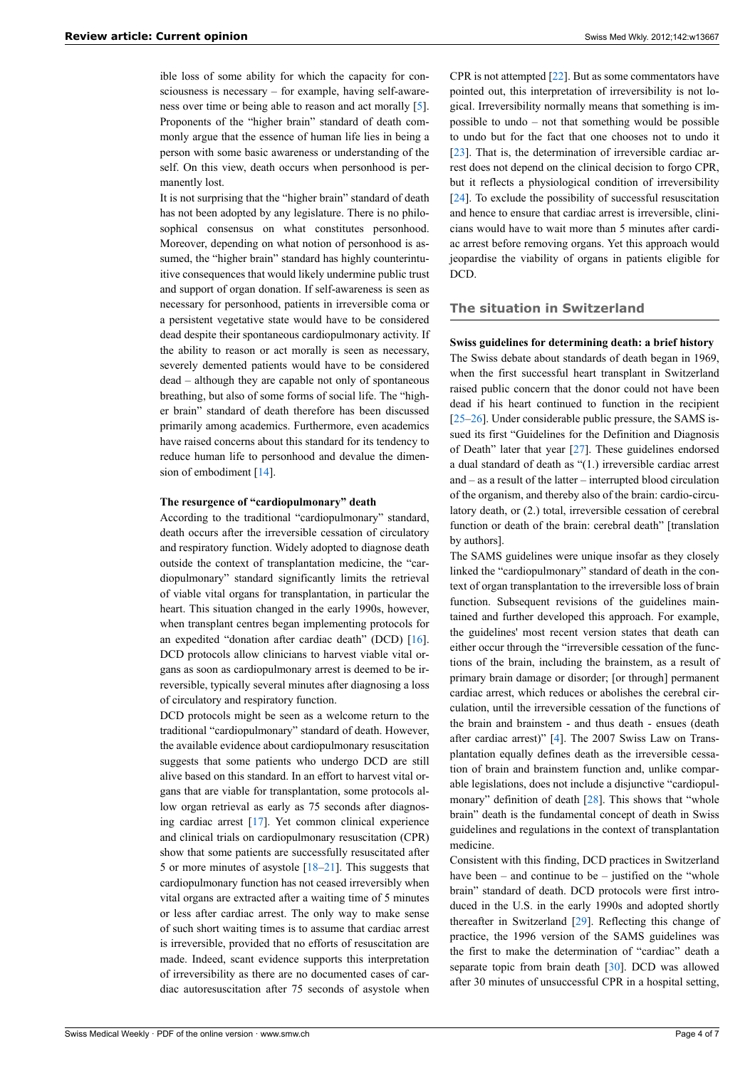ible loss of some ability for which the capacity for consciousness is necessary – for example, having self-awareness over time or being able to reason and act morally [[5](#page-5-4)]. Proponents of the "higher brain" standard of death commonly argue that the essence of human life lies in being a person with some basic awareness or understanding of the self. On this view, death occurs when personhood is permanently lost.

It is not surprising that the "higher brain" standard of death has not been adopted by any legislature. There is no philosophical consensus on what constitutes personhood. Moreover, depending on what notion of personhood is assumed, the "higher brain" standard has highly counterintuitive consequences that would likely undermine public trust and support of organ donation. If self-awareness is seen as necessary for personhood, patients in irreversible coma or a persistent vegetative state would have to be considered dead despite their spontaneous cardiopulmonary activity. If the ability to reason or act morally is seen as necessary, severely demented patients would have to be considered dead – although they are capable not only of spontaneous breathing, but also of some forms of social life. The "higher brain" standard of death therefore has been discussed primarily among academics. Furthermore, even academics have raised concerns about this standard for its tendency to reduce human life to personhood and devalue the dimen-sion of embodiment [\[14](#page-6-6)].

# **The resurgence of "cardiopulmonary" death**

According to the traditional "cardiopulmonary" standard, death occurs after the irreversible cessation of circulatory and respiratory function. Widely adopted to diagnose death outside the context of transplantation medicine, the "cardiopulmonary" standard significantly limits the retrieval of viable vital organs for transplantation, in particular the heart. This situation changed in the early 1990s, however, when transplant centres began implementing protocols for an expedited "donation after cardiac death" (DCD) [\[16](#page-6-10)]. DCD protocols allow clinicians to harvest viable vital organs as soon as cardiopulmonary arrest is deemed to be irreversible, typically several minutes after diagnosing a loss of circulatory and respiratory function.

DCD protocols might be seen as a welcome return to the traditional "cardiopulmonary" standard of death. However, the available evidence about cardiopulmonary resuscitation suggests that some patients who undergo DCD are still alive based on this standard. In an effort to harvest vital organs that are viable for transplantation, some protocols allow organ retrieval as early as 75 seconds after diagnosing cardiac arrest [[17\]](#page-6-11). Yet common clinical experience and clinical trials on cardiopulmonary resuscitation (CPR) show that some patients are successfully resuscitated after 5 or more minutes of asystole [[18](#page-6-12)[–21](#page-6-13)]. This suggests that cardiopulmonary function has not ceased irreversibly when vital organs are extracted after a waiting time of 5 minutes or less after cardiac arrest. The only way to make sense of such short waiting times is to assume that cardiac arrest is irreversible, provided that no efforts of resuscitation are made. Indeed, scant evidence supports this interpretation of irreversibility as there are no documented cases of cardiac autoresuscitation after 75 seconds of asystole when

CPR is not attempted [\[22](#page-6-14)]. But as some commentators have pointed out, this interpretation of irreversibility is not logical. Irreversibility normally means that something is impossible to undo – not that something would be possible to undo but for the fact that one chooses not to undo it [[23\]](#page-6-15). That is, the determination of irreversible cardiac arrest does not depend on the clinical decision to forgo CPR, but it reflects a physiological condition of irreversibility [[24\]](#page-6-0). To exclude the possibility of successful resuscitation and hence to ensure that cardiac arrest is irreversible, clinicians would have to wait more than 5 minutes after cardiac arrest before removing organs. Yet this approach would jeopardise the viability of organs in patients eligible for DCD.

#### **The situation in Switzerland**

#### **Swiss guidelines for determining death: a brief history**

The Swiss debate about standards of death began in 1969, when the first successful heart transplant in Switzerland raised public concern that the donor could not have been dead if his heart continued to function in the recipient [[25–](#page-6-16)[26](#page-6-17)]. Under considerable public pressure, the SAMS issued its first "Guidelines for the Definition and Diagnosis of Death" later that year [[27\]](#page-6-18). These guidelines endorsed a dual standard of death as "(1.) irreversible cardiac arrest and – as a result of the latter – interrupted blood circulation of the organism, and thereby also of the brain: cardio-circulatory death, or (2.) total, irreversible cessation of cerebral function or death of the brain: cerebral death" [translation by authors].

The SAMS guidelines were unique insofar as they closely linked the "cardiopulmonary" standard of death in the context of organ transplantation to the irreversible loss of brain function. Subsequent revisions of the guidelines maintained and further developed this approach. For example, the guidelines' most recent version states that death can either occur through the "irreversible cessation of the functions of the brain, including the brainstem, as a result of primary brain damage or disorder; [or through] permanent cardiac arrest, which reduces or abolishes the cerebral circulation, until the irreversible cessation of the functions of the brain and brainstem - and thus death - ensues (death after cardiac arrest)" [[4](#page-5-3)]. The 2007 Swiss Law on Transplantation equally defines death as the irreversible cessation of brain and brainstem function and, unlike comparable legislations, does not include a disjunctive "cardiopul-monary" definition of death [[28\]](#page-6-9). This shows that "whole brain" death is the fundamental concept of death in Swiss guidelines and regulations in the context of transplantation medicine.

Consistent with this finding, DCD practices in Switzerland have been – and continue to be – justified on the "whole" brain" standard of death. DCD protocols were first introduced in the U.S. in the early 1990s and adopted shortly thereafter in Switzerland [[29\]](#page-6-19). Reflecting this change of practice, the 1996 version of the SAMS guidelines was the first to make the determination of "cardiac" death a separate topic from brain death [[30\]](#page-6-20). DCD was allowed after 30 minutes of unsuccessful CPR in a hospital setting,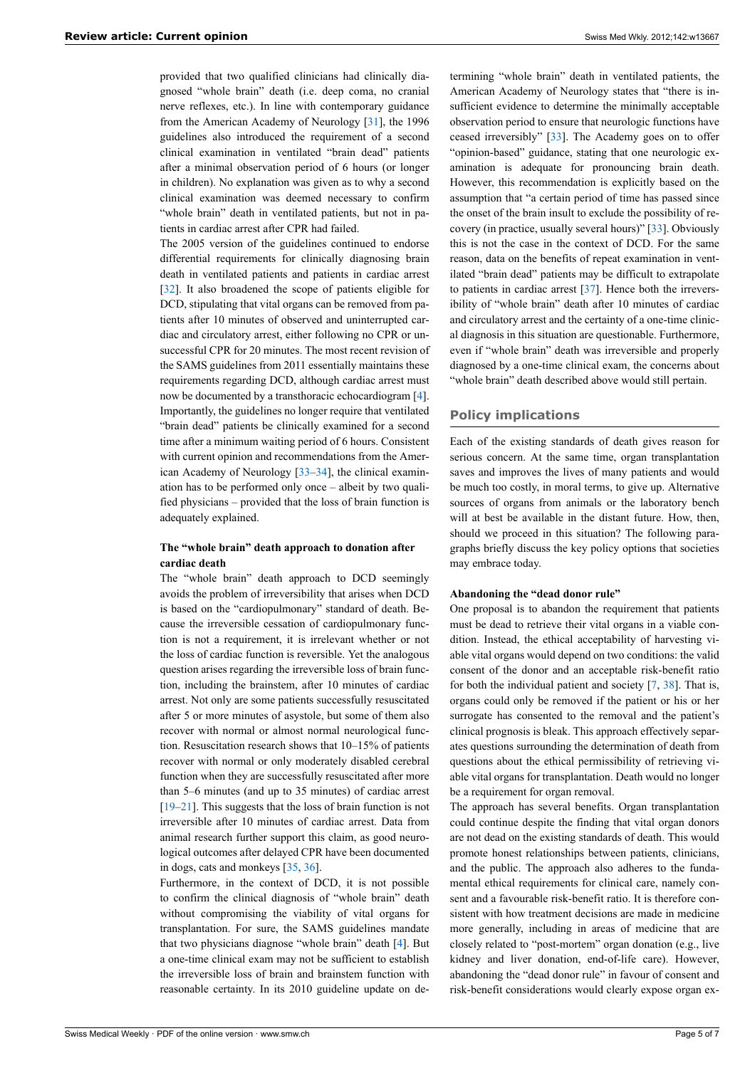provided that two qualified clinicians had clinically diagnosed "whole brain" death (i.e. deep coma, no cranial nerve reflexes, etc.). In line with contemporary guidance from the American Academy of Neurology [[31\]](#page-6-21), the 1996 guidelines also introduced the requirement of a second clinical examination in ventilated "brain dead" patients after a minimal observation period of 6 hours (or longer in children). No explanation was given as to why a second clinical examination was deemed necessary to confirm "whole brain" death in ventilated patients, but not in patients in cardiac arrest after CPR had failed.

The 2005 version of the guidelines continued to endorse differential requirements for clinically diagnosing brain death in ventilated patients and patients in cardiac arrest [\[32](#page-6-22)]. It also broadened the scope of patients eligible for DCD, stipulating that vital organs can be removed from patients after 10 minutes of observed and uninterrupted cardiac and circulatory arrest, either following no CPR or unsuccessful CPR for 20 minutes. The most recent revision of the SAMS guidelines from 2011 essentially maintains these requirements regarding DCD, although cardiac arrest must now be documented by a transthoracic echocardiogram [[4](#page-5-3)]. Importantly, the guidelines no longer require that ventilated "brain dead" patients be clinically examined for a second time after a minimum waiting period of 6 hours. Consistent with current opinion and recommendations from the American Academy of Neurology [\[33](#page-6-23)–[34\]](#page-6-24), the clinical examination has to be performed only once – albeit by two qualified physicians – provided that the loss of brain function is adequately explained.

# **The "whole brain" death approach to donation after cardiac death**

The "whole brain" death approach to DCD seemingly avoids the problem of irreversibility that arises when DCD is based on the "cardiopulmonary" standard of death. Because the irreversible cessation of cardiopulmonary function is not a requirement, it is irrelevant whether or not the loss of cardiac function is reversible. Yet the analogous question arises regarding the irreversible loss of brain function, including the brainstem, after 10 minutes of cardiac arrest. Not only are some patients successfully resuscitated after 5 or more minutes of asystole, but some of them also recover with normal or almost normal neurological function. Resuscitation research shows that 10–15% of patients recover with normal or only moderately disabled cerebral function when they are successfully resuscitated after more than 5–6 minutes (and up to 35 minutes) of cardiac arrest [\[19](#page-6-25)–[21\]](#page-6-13). This suggests that the loss of brain function is not irreversible after 10 minutes of cardiac arrest. Data from animal research further support this claim, as good neurological outcomes after delayed CPR have been documented in dogs, cats and monkeys [[35](#page-6-26), [36\]](#page-6-25).

Furthermore, in the context of DCD, it is not possible to confirm the clinical diagnosis of "whole brain" death without compromising the viability of vital organs for transplantation. For sure, the SAMS guidelines mandate that two physicians diagnose "whole brain" death [[4](#page-5-3)]. But a one-time clinical exam may not be sufficient to establish the irreversible loss of brain and brainstem function with reasonable certainty. In its 2010 guideline update on determining "whole brain" death in ventilated patients, the American Academy of Neurology states that "there is insufficient evidence to determine the minimally acceptable observation period to ensure that neurologic functions have ceased irreversibly" [[33\]](#page-6-23). The Academy goes on to offer "opinion-based" guidance, stating that one neurologic examination is adequate for pronouncing brain death. However, this recommendation is explicitly based on the assumption that "a certain period of time has passed since the onset of the brain insult to exclude the possibility of recovery (in practice, usually several hours)" [\[33](#page-6-23)]. Obviously this is not the case in the context of DCD. For the same reason, data on the benefits of repeat examination in ventilated "brain dead" patients may be difficult to extrapolate to patients in cardiac arrest [\[37](#page-6-27)]. Hence both the irreversibility of "whole brain" death after 10 minutes of cardiac and circulatory arrest and the certainty of a one-time clinical diagnosis in this situation are questionable. Furthermore, even if "whole brain" death was irreversible and properly diagnosed by a one-time clinical exam, the concerns about "whole brain" death described above would still pertain.

# **Policy implications**

Each of the existing standards of death gives reason for serious concern. At the same time, organ transplantation saves and improves the lives of many patients and would be much too costly, in moral terms, to give up. Alternative sources of organs from animals or the laboratory bench will at best be available in the distant future. How, then, should we proceed in this situation? The following paragraphs briefly discuss the key policy options that societies may embrace today.

# **Abandoning the "dead donor rule"**

One proposal is to abandon the requirement that patients must be dead to retrieve their vital organs in a viable condition. Instead, the ethical acceptability of harvesting viable vital organs would depend on two conditions: the valid consent of the donor and an acceptable risk-benefit ratio for both the individual patient and society  $[7, 38]$  $[7, 38]$  $[7, 38]$ . That is, organs could only be removed if the patient or his or her surrogate has consented to the removal and the patient's clinical prognosis is bleak. This approach effectively separates questions surrounding the determination of death from questions about the ethical permissibility of retrieving viable vital organs for transplantation. Death would no longer be a requirement for organ removal.

The approach has several benefits. Organ transplantation could continue despite the finding that vital organ donors are not dead on the existing standards of death. This would promote honest relationships between patients, clinicians, and the public. The approach also adheres to the fundamental ethical requirements for clinical care, namely consent and a favourable risk-benefit ratio. It is therefore consistent with how treatment decisions are made in medicine more generally, including in areas of medicine that are closely related to "post-mortem" organ donation (e.g., live kidney and liver donation, end-of-life care). However, abandoning the "dead donor rule" in favour of consent and risk-benefit considerations would clearly expose organ ex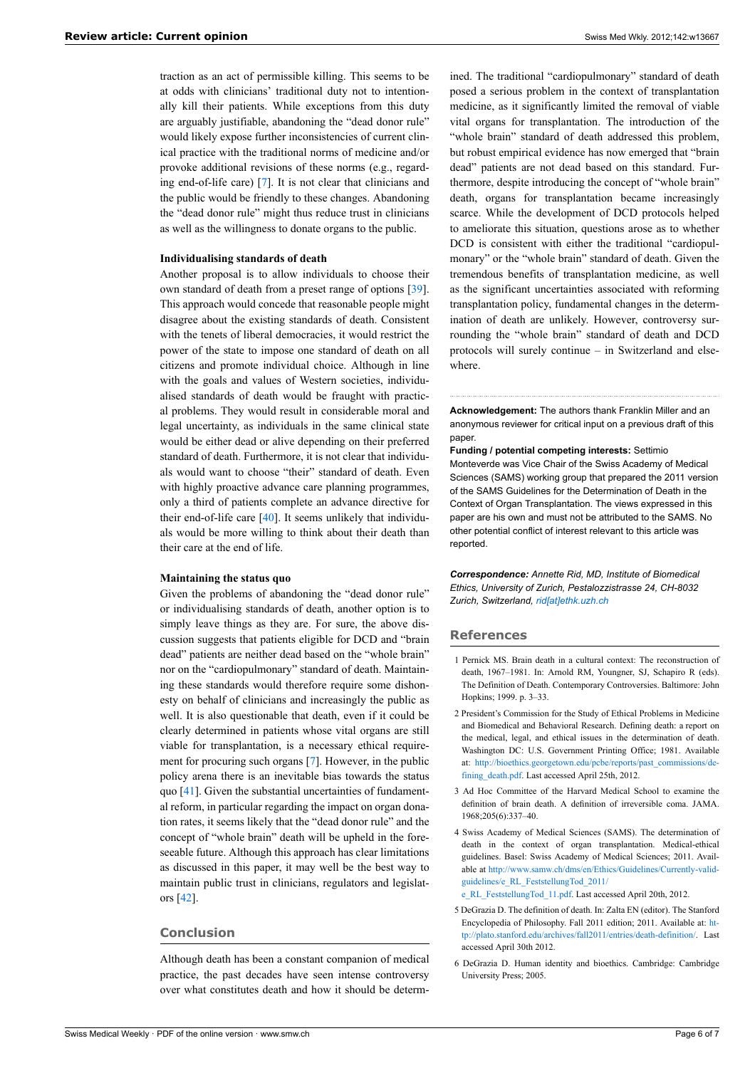traction as an act of permissible killing. This seems to be at odds with clinicians' traditional duty not to intentionally kill their patients. While exceptions from this duty are arguably justifiable, abandoning the "dead donor rule" would likely expose further inconsistencies of current clinical practice with the traditional norms of medicine and/or provoke additional revisions of these norms (e.g., regarding end-of-life care) [\[7\]](#page-6-0). It is not clear that clinicians and the public would be friendly to these changes. Abandoning the "dead donor rule" might thus reduce trust in clinicians as well as the willingness to donate organs to the public.

#### **Individualising standards of death**

Another proposal is to allow individuals to choose their own standard of death from a preset range of options [\[39](#page-6-29)]. This approach would concede that reasonable people might disagree about the existing standards of death. Consistent with the tenets of liberal democracies, it would restrict the power of the state to impose one standard of death on all citizens and promote individual choice. Although in line with the goals and values of Western societies, individualised standards of death would be fraught with practical problems. They would result in considerable moral and legal uncertainty, as individuals in the same clinical state would be either dead or alive depending on their preferred standard of death. Furthermore, it is not clear that individuals would want to choose "their" standard of death. Even with highly proactive advance care planning programmes, only a third of patients complete an advance directive for their end-of-life care [\[40](#page-6-30)]. It seems unlikely that individuals would be more willing to think about their death than their care at the end of life.

## **Maintaining the status quo**

<span id="page-5-1"></span><span id="page-5-0"></span>Given the problems of abandoning the "dead donor rule" or individualising standards of death, another option is to simply leave things as they are. For sure, the above discussion suggests that patients eligible for DCD and "brain dead" patients are neither dead based on the "whole brain" nor on the "cardiopulmonary" standard of death. Maintaining these standards would therefore require some dishonesty on behalf of clinicians and increasingly the public as well. It is also questionable that death, even if it could be clearly determined in patients whose vital organs are still viable for transplantation, is a necessary ethical requirement for procuring such organs [\[7\]](#page-6-0). However, in the public policy arena there is an inevitable bias towards the status quo [[41\]](#page-6-31). Given the substantial uncertainties of fundamental reform, in particular regarding the impact on organ donation rates, it seems likely that the "dead donor rule" and the concept of "whole brain" death will be upheld in the foreseeable future. Although this approach has clear limitations as discussed in this paper, it may well be the best way to maintain public trust in clinicians, regulators and legislators [\[42](#page-6-32)].

# <span id="page-5-4"></span><span id="page-5-3"></span><span id="page-5-2"></span>**Conclusion**

<span id="page-5-5"></span>Although death has been a constant companion of medical practice, the past decades have seen intense controversy over what constitutes death and how it should be determ-

ined. The traditional "cardiopulmonary" standard of death posed a serious problem in the context of transplantation medicine, as it significantly limited the removal of viable vital organs for transplantation. The introduction of the "whole brain" standard of death addressed this problem, but robust empirical evidence has now emerged that "brain dead" patients are not dead based on this standard. Furthermore, despite introducing the concept of "whole brain" death, organs for transplantation became increasingly scarce. While the development of DCD protocols helped to ameliorate this situation, questions arose as to whether DCD is consistent with either the traditional "cardiopulmonary" or the "whole brain" standard of death. Given the tremendous benefits of transplantation medicine, as well as the significant uncertainties associated with reforming transplantation policy, fundamental changes in the determination of death are unlikely. However, controversy surrounding the "whole brain" standard of death and DCD protocols will surely continue – in Switzerland and elsewhere.

**Acknowledgement:** The authors thank Franklin Miller and an anonymous reviewer for critical input on a previous draft of this paper.

**Funding / potential competing interests:** Settimio Monteverde was Vice Chair of the Swiss Academy of Medical Sciences (SAMS) working group that prepared the 2011 version of the SAMS Guidelines for the Determination of Death in the Context of Organ Transplantation. The views expressed in this paper are his own and must not be attributed to the SAMS. No other potential conflict of interest relevant to this article was reported.

*Correspondence: Annette Rid, MD, Institute of Biomedical Ethics, University of Zurich, Pestalozzistrasse 24, CH-8032 Zurich, Switzerland, [rid\[at\]ethk.uzh.ch](mailto:rid@ethk.uzh.ch)*

## **References**

- 1 Pernick MS. Brain death in a cultural context: The reconstruction of death, 1967–1981. In: Arnold RM, Youngner, SJ, Schapiro R (eds). The Definition of Death. Contemporary Controversies. Baltimore: John Hopkins; 1999. p. 3–33.
- 2 President's Commission for the Study of Ethical Problems in Medicine and Biomedical and Behavioral Research. Defining death: a report on the medical, legal, and ethical issues in the determination of death. Washington DC: U.S. Government Printing Office; 1981. Available at: [http://bioethics.georgetown.edu/pcbe/reports/past\\_commissions/de](http://bioethics.georgetown.edu/pcbe/reports/past_commissions/defining_death.pdf)fining death.pdf. Last accessed April 25th, 2012.
- 3 Ad Hoc Committee of the Harvard Medical School to examine the definition of brain death. A definition of irreversible coma. JAMA. 1968;205(6):337–40.
- 4 Swiss Academy of Medical Sciences (SAMS). The determination of death in the context of organ transplantation. Medical-ethical guidelines. Basel: Swiss Academy of Medical Sciences; 2011. Available at [http://www.samw.ch/dms/en/Ethics/Guidelines/Currently-valid](http://www.samw.ch/dms/en/Ethics/Guidelines/Currently-valid-guidelines/e_RL_FeststellungTod_2011/e_RL_FeststellungTod_11.pdf)[guidelines/e\\_RL\\_FeststellungTod\\_2011/](http://www.samw.ch/dms/en/Ethics/Guidelines/Currently-valid-guidelines/e_RL_FeststellungTod_2011/e_RL_FeststellungTod_11.pdf)
- [e\\_RL\\_FeststellungTod\\_11.pdf](http://www.samw.ch/dms/en/Ethics/Guidelines/Currently-valid-guidelines/e_RL_FeststellungTod_2011/e_RL_FeststellungTod_11.pdf). Last accessed April 20th, 2012.
- 5 DeGrazia D. The definition of death. In: Zalta EN (editor). The Stanford Encyclopedia of Philosophy. Fall 2011 edition; 2011. Available at: [ht](http://plato.stanford.edu/archives/fall2011/entries/death-definition/)[tp://plato.stanford.edu/archives/fall2011/entries/death-definition/](http://plato.stanford.edu/archives/fall2011/entries/death-definition/). Last accessed April 30th 2012.
- 6 DeGrazia D. Human identity and bioethics. Cambridge: Cambridge University Press; 2005.